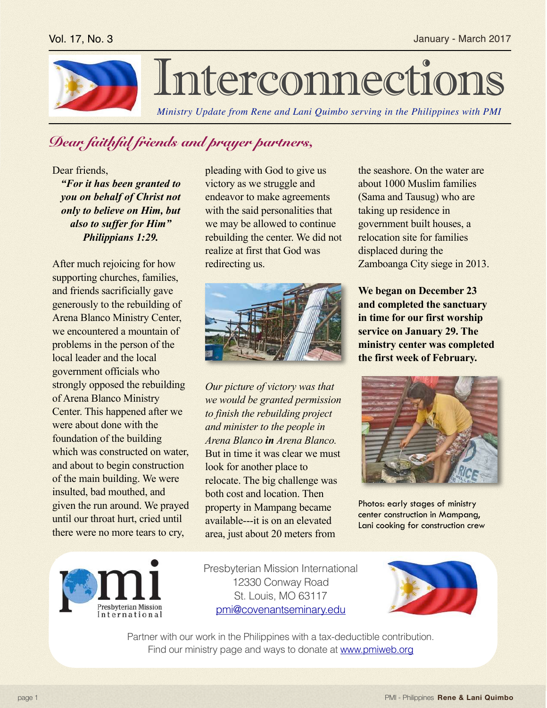

## Interconnection

*Ministry Update from Rene and Lani Quimbo serving in the Philippines with PMI*

## *Dear faithful friends and prayer partners,*

Dear friends,

*"For it has been granted to you on behalf of Christ not only to believe on Him, but also to suffer for Him" Philippians 1:29.*

After much rejoicing for how supporting churches, families, and friends sacrificially gave generously to the rebuilding of Arena Blanco Ministry Center, we encountered a mountain of problems in the person of the local leader and the local government officials who strongly opposed the rebuilding of Arena Blanco Ministry Center. This happened after we were about done with the foundation of the building which was constructed on water, and about to begin construction of the main building. We were insulted, bad mouthed, and given the run around. We prayed until our throat hurt, cried until there were no more tears to cry,

pleading with God to give us victory as we struggle and endeavor to make agreements with the said personalities that we may be allowed to continue rebuilding the center. We did not realize at first that God was redirecting us.



*Our picture of victory was that we would be granted permission to finish the rebuilding project and minister to the people in Arena Blanco in Arena Blanco.*  But in time it was clear we must look for another place to relocate. The big challenge was both cost and location. Then property in Mampang became available---it is on an elevated area, just about 20 meters from

the seashore. On the water are about 1000 Muslim families (Sama and Tausug) who are taking up residence in government built houses, a relocation site for families displaced during the Zamboanga City siege in 2013.

**We began on December 23 and completed the sanctuary in time for our first worship service on January 29. The ministry center was completed the first week of February.**



Photos: early stages of ministry center construction in Mampang, Lani cooking for construction crew



Presbyterian Mission International 12330 Conway Road St. Louis, MO 63117 [pmi@covenantseminary.edu](mailto:pmi@covenantseminary.edu)



Partner with our work in the Philippines with a tax-deductible contribution. Find our ministry page and ways to donate at [www.pmiweb.org](http://www.pmiweb.org)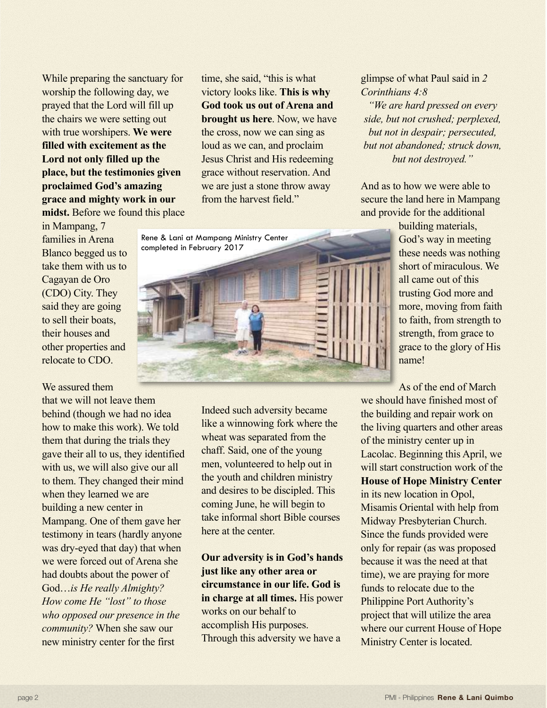While preparing the sanctuary for worship the following day, we prayed that the Lord will fill up the chairs we were setting out with true worshipers. **We were filled with excitement as the Lord not only filled up the place, but the testimonies given proclaimed God's amazing grace and mighty work in our midst.** Before we found this place

in Mampang, 7

families in Arena Blanco begged us to take them with us to Cagayan de Oro (CDO) City. They said they are going to sell their boats, their houses and other properties and relocate to CDO.

We assured them

that we will not leave them behind (though we had no idea how to make this work). We told them that during the trials they gave their all to us, they identified with us, we will also give our all to them. They changed their mind when they learned we are building a new center in Mampang. One of them gave her testimony in tears (hardly anyone was dry-eyed that day) that when we were forced out of Arena she had doubts about the power of God…*is He really Almighty? How come He "lost" to those who opposed our presence in the community?* When she saw our new ministry center for the first

time, she said, "this is what victory looks like. **This is why God took us out of Arena and brought us here**. Now, we have the cross, now we can sing as loud as we can, and proclaim Jesus Christ and His redeeming grace without reservation. And we are just a stone throw away from the harvest field."

Rene & Lani at Mampang Ministry Center completed in February 2017



Indeed such adversity became like a winnowing fork where the wheat was separated from the chaff. Said, one of the young men, volunteered to help out in the youth and children ministry and desires to be discipled. This coming June, he will begin to take informal short Bible courses here at the center.

**Our adversity is in God's hands just like any other area or circumstance in our life. God is in charge at all times.** His power works on our behalf to accomplish His purposes. Through this adversity we have a

glimpse of what Paul said in *2 Corinthians 4:8* 

*"We are hard pressed on every side, but not crushed; perplexed, but not in despair; persecuted, but not abandoned; struck down, but not destroyed."* 

And as to how we were able to secure the land here in Mampang and provide for the additional

> building materials, God's way in meeting these needs was nothing short of miraculous. We all came out of this trusting God more and more, moving from faith to faith, from strength to strength, from grace to grace to the glory of His name!

As of the end of March we should have finished most of the building and repair work on the living quarters and other areas of the ministry center up in Lacolac. Beginning this April, we will start construction work of the **House of Hope Ministry Center** in its new location in Opol, Misamis Oriental with help from Midway Presbyterian Church. Since the funds provided were only for repair (as was proposed because it was the need at that time), we are praying for more funds to relocate due to the Philippine Port Authority's project that will utilize the area where our current House of Hope Ministry Center is located.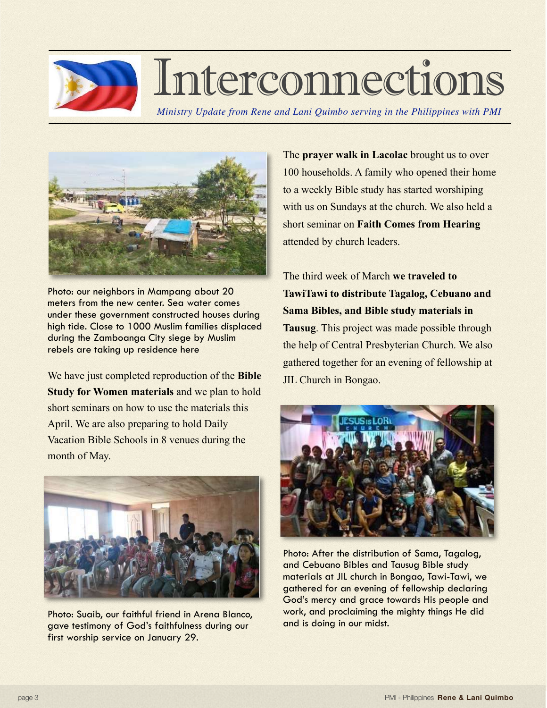

## Interconnections

*Ministry Update from Rene and Lani Quimbo serving in the Philippines with PMI*



Photo: our neighbors in Mampang about 20 meters from the new center. Sea water comes under these government constructed houses during high tide. Close to 1000 Muslim families displaced during the Zamboanga City siege by Muslim rebels are taking up residence here

We have just completed reproduction of the **Bible Study for Women materials** and we plan to hold short seminars on how to use the materials this April. We are also preparing to hold Daily Vacation Bible Schools in 8 venues during the month of May.



Photo: Suaib, our faithful friend in Arena Blanco, gave testimony of God's faithfulness during our first worship service on January 29.

The **prayer walk in Lacolac** brought us to over 100 households. A family who opened their home to a weekly Bible study has started worshiping with us on Sundays at the church. We also held a short seminar on **Faith Comes from Hearing**  attended by church leaders.

The third week of March **we traveled to TawiTawi to distribute Tagalog, Cebuano and Sama Bibles, and Bible study materials in Tausug**. This project was made possible through the help of Central Presbyterian Church. We also gathered together for an evening of fellowship at JIL Church in Bongao.



Photo: After the distribution of Sama, Tagalog, and Cebuano Bibles and Tausug Bible study materials at JIL church in Bongao, Tawi-Tawi, we gathered for an evening of fellowship declaring God's mercy and grace towards His people and work, and proclaiming the mighty things He did and is doing in our midst.